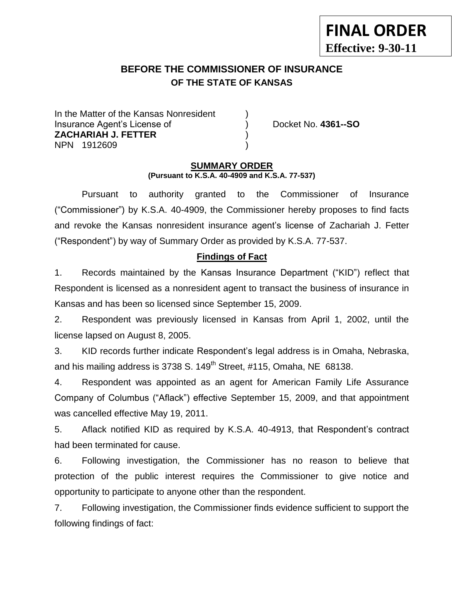# **BEFORE THE COMMISSIONER OF INSURANCE OF THE STATE OF KANSAS**

In the Matter of the Kansas Nonresident Insurance Agent's License of ) Docket No. **4361--SO ZACHARIAH J. FETTER** ) NPN 1912609 )

**FINAL ORDER**

**Effective: 9-30-11**

#### **SUMMARY ORDER (Pursuant to K.S.A. 40-4909 and K.S.A. 77-537)**

Pursuant to authority granted to the Commissioner of Insurance ("Commissioner") by K.S.A. 40-4909, the Commissioner hereby proposes to find facts and revoke the Kansas nonresident insurance agent's license of Zachariah J. Fetter ("Respondent") by way of Summary Order as provided by K.S.A. 77-537.

# **Findings of Fact**

1. Records maintained by the Kansas Insurance Department ("KID") reflect that Respondent is licensed as a nonresident agent to transact the business of insurance in Kansas and has been so licensed since September 15, 2009.

2. Respondent was previously licensed in Kansas from April 1, 2002, until the license lapsed on August 8, 2005.

3. KID records further indicate Respondent's legal address is in Omaha, Nebraska, and his mailing address is 3738 S.  $149<sup>th</sup>$  Street, #115, Omaha, NE 68138.

4. Respondent was appointed as an agent for American Family Life Assurance Company of Columbus ("Aflack") effective September 15, 2009, and that appointment was cancelled effective May 19, 2011.

5. Aflack notified KID as required by K.S.A. 40-4913, that Respondent's contract had been terminated for cause.

6. Following investigation, the Commissioner has no reason to believe that protection of the public interest requires the Commissioner to give notice and opportunity to participate to anyone other than the respondent.

7. Following investigation, the Commissioner finds evidence sufficient to support the following findings of fact: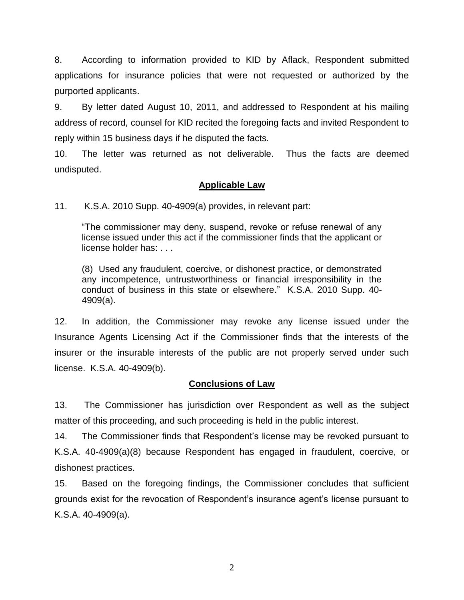8. According to information provided to KID by Aflack, Respondent submitted applications for insurance policies that were not requested or authorized by the purported applicants.

9. By letter dated August 10, 2011, and addressed to Respondent at his mailing address of record, counsel for KID recited the foregoing facts and invited Respondent to reply within 15 business days if he disputed the facts.

10. The letter was returned as not deliverable. Thus the facts are deemed undisputed.

## **Applicable Law**

11. K.S.A. 2010 Supp. 40-4909(a) provides, in relevant part:

"The commissioner may deny, suspend, revoke or refuse renewal of any license issued under this act if the commissioner finds that the applicant or license holder has: . . .

(8) Used any fraudulent, coercive, or dishonest practice, or demonstrated any incompetence, untrustworthiness or financial irresponsibility in the conduct of business in this state or elsewhere." K.S.A. 2010 Supp. 40- 4909(a).

12. In addition, the Commissioner may revoke any license issued under the Insurance Agents Licensing Act if the Commissioner finds that the interests of the insurer or the insurable interests of the public are not properly served under such license. K.S.A. 40-4909(b).

## **Conclusions of Law**

13. The Commissioner has jurisdiction over Respondent as well as the subject matter of this proceeding, and such proceeding is held in the public interest.

14. The Commissioner finds that Respondent's license may be revoked pursuant to K.S.A. 40-4909(a)(8) because Respondent has engaged in fraudulent, coercive, or dishonest practices.

15. Based on the foregoing findings, the Commissioner concludes that sufficient grounds exist for the revocation of Respondent's insurance agent's license pursuant to K.S.A. 40-4909(a).

2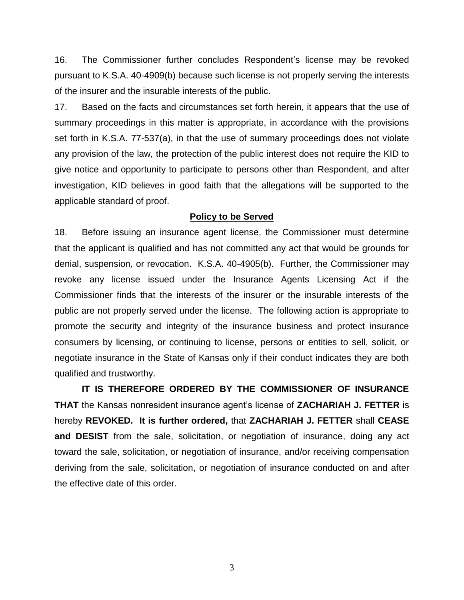16. The Commissioner further concludes Respondent's license may be revoked pursuant to K.S.A. 40-4909(b) because such license is not properly serving the interests of the insurer and the insurable interests of the public.

17. Based on the facts and circumstances set forth herein, it appears that the use of summary proceedings in this matter is appropriate, in accordance with the provisions set forth in K.S.A. 77-537(a), in that the use of summary proceedings does not violate any provision of the law, the protection of the public interest does not require the KID to give notice and opportunity to participate to persons other than Respondent, and after investigation, KID believes in good faith that the allegations will be supported to the applicable standard of proof.

#### **Policy to be Served**

18. Before issuing an insurance agent license, the Commissioner must determine that the applicant is qualified and has not committed any act that would be grounds for denial, suspension, or revocation. K.S.A. 40-4905(b). Further, the Commissioner may revoke any license issued under the Insurance Agents Licensing Act if the Commissioner finds that the interests of the insurer or the insurable interests of the public are not properly served under the license. The following action is appropriate to promote the security and integrity of the insurance business and protect insurance consumers by licensing, or continuing to license, persons or entities to sell, solicit, or negotiate insurance in the State of Kansas only if their conduct indicates they are both qualified and trustworthy.

**IT IS THEREFORE ORDERED BY THE COMMISSIONER OF INSURANCE THAT** the Kansas nonresident insurance agent's license of **ZACHARIAH J. FETTER** is hereby **REVOKED. It is further ordered,** that **ZACHARIAH J. FETTER** shall **CEASE and DESIST** from the sale, solicitation, or negotiation of insurance, doing any act toward the sale, solicitation, or negotiation of insurance, and/or receiving compensation deriving from the sale, solicitation, or negotiation of insurance conducted on and after the effective date of this order.

3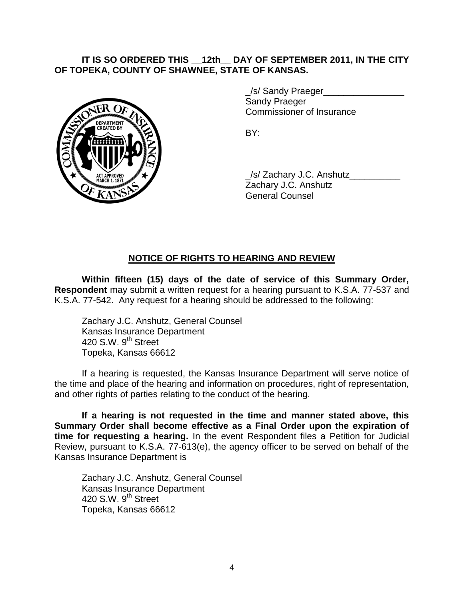## **IT IS SO ORDERED THIS \_\_12th\_\_ DAY OF SEPTEMBER 2011, IN THE CITY OF TOPEKA, COUNTY OF SHAWNEE, STATE OF KANSAS.**



\_/s/ Sandy Praeger\_\_\_\_\_\_\_\_\_\_\_\_\_\_\_\_ Sandy Praeger Commissioner of Insurance

BY:

\_/s/ Zachary J.C. Anshutz\_\_\_\_\_\_\_\_\_\_ Zachary J.C. Anshutz General Counsel

# **NOTICE OF RIGHTS TO HEARING AND REVIEW**

**Within fifteen (15) days of the date of service of this Summary Order, Respondent** may submit a written request for a hearing pursuant to K.S.A. 77-537 and K.S.A. 77-542. Any request for a hearing should be addressed to the following:

Zachary J.C. Anshutz, General Counsel Kansas Insurance Department 420 S.W.  $9<sup>th</sup>$  Street Topeka, Kansas 66612

If a hearing is requested, the Kansas Insurance Department will serve notice of the time and place of the hearing and information on procedures, right of representation, and other rights of parties relating to the conduct of the hearing.

**If a hearing is not requested in the time and manner stated above, this Summary Order shall become effective as a Final Order upon the expiration of time for requesting a hearing.** In the event Respondent files a Petition for Judicial Review, pursuant to K.S.A. 77-613(e), the agency officer to be served on behalf of the Kansas Insurance Department is

Zachary J.C. Anshutz, General Counsel Kansas Insurance Department 420 S.W. 9<sup>th</sup> Street Topeka, Kansas 66612